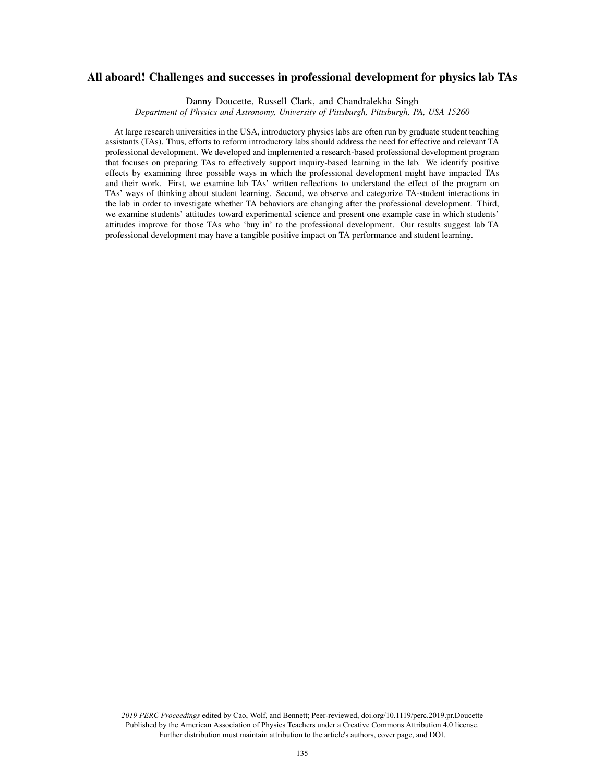# All aboard! Challenges and successes in professional development for physics lab TAs

Danny Doucette, Russell Clark, and Chandralekha Singh

*Department of Physics and Astronomy, University of Pittsburgh, Pittsburgh, PA, USA 15260*

At large research universities in the USA, introductory physics labs are often run by graduate student teaching assistants (TAs). Thus, efforts to reform introductory labs should address the need for effective and relevant TA professional development. We developed and implemented a research-based professional development program that focuses on preparing TAs to effectively support inquiry-based learning in the lab. We identify positive effects by examining three possible ways in which the professional development might have impacted TAs and their work. First, we examine lab TAs' written reflections to understand the effect of the program on TAs' ways of thinking about student learning. Second, we observe and categorize TA-student interactions in the lab in order to investigate whether TA behaviors are changing after the professional development. Third, we examine students' attitudes toward experimental science and present one example case in which students' attitudes improve for those TAs who 'buy in' to the professional development. Our results suggest lab TA professional development may have a tangible positive impact on TA performance and student learning.

*2019 PERC Proceedings* edited by Cao, Wolf, and Bennett; Peer-reviewed, doi.org/10.1119/perc.2019.pr.Doucette Published by the American Association of Physics Teachers under a Creative Commons Attribution 4.0 license. Further distribution must maintain attribution to the article's authors, cover page, and DOI.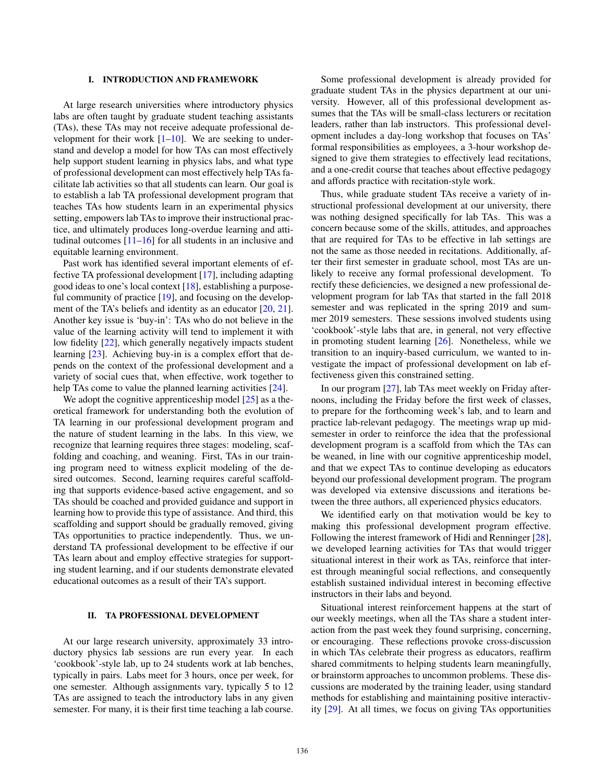#### I. INTRODUCTION AND FRAMEWORK

At large research universities where introductory physics labs are often taught by graduate student teaching assistants (TAs), these TAs may not receive adequate professional development for their work  $[1–10]$ . We are seeking to understand and develop a model for how TAs can most effectively help support student learning in physics labs, and what type of professional development can most effectively help TAs facilitate lab activities so that all students can learn. Our goal is to establish a lab TA professional development program that teaches TAs how students learn in an experimental physics setting, empowers lab TAs to improve their instructional practice, and ultimately produces long-overdue learning and attitudinal outcomes  $[11-16]$  for all students in an inclusive and equitable learning environment.

Past work has identified several important elements of effective TA professional development [17], including adapting good ideas to one's local context [18], establishing a purposeful community of practice [19], and focusing on the development of the TA's beliefs and identity as an educator  $[20, 21]$ . Another key issue is 'buy-in': TAs who do not believe in the value of the learning activity will tend to implement it with low fidelity [22], which generally negatively impacts student learning [23]. Achieving buy-in is a complex effort that depends on the context of the professional development and a variety of social cues that, when effective, work together to help TAs come to value the planned learning activities [24].

We adopt the cognitive apprenticeship model [25] as a theoretical framework for understanding both the evolution of TA learning in our professional development program and the nature of student learning in the labs. In this view, we recognize that learning requires three stages: modeling, scaffolding and coaching, and weaning. First, TAs in our training program need to witness explicit modeling of the desired outcomes. Second, learning requires careful scaffolding that supports evidence-based active engagement, and so TAs should be coached and provided guidance and support in learning how to provide this type of assistance. And third, this scaffolding and support should be gradually removed, giving TAs opportunities to practice independently. Thus, we understand TA professional development to be effective if our TAs learn about and employ effective strategies for supporting student learning, and if our students demonstrate elevated educational outcomes as a result of their TA's support.

## II. TA PROFESSIONAL DEVELOPMENT

At our large research university, approximately 33 introductory physics lab sessions are run every year. In each 'cookbook'-style lab, up to 24 students work at lab benches, typically in pairs. Labs meet for 3 hours, once per week, for one semester. Although assignments vary, typically 5 to 12 TAs are assigned to teach the introductory labs in any given semester. For many, it is their first time teaching a lab course.

Some professional development is already provided for graduate student TAs in the physics department at our university. However, all of this professional development assumes that the TAs will be small-class lecturers or recitation leaders, rather than lab instructors. This professional development includes a day-long workshop that focuses on TAs' formal responsibilities as employees, a 3-hour workshop designed to give them strategies to effectively lead recitations, and a one-credit course that teaches about effective pedagogy and affords practice with recitation-style work.

Thus, while graduate student TAs receive a variety of instructional professional development at our university, there was nothing designed specifically for lab TAs. This was a concern because some of the skills, attitudes, and approaches that are required for TAs to be effective in lab settings are not the same as those needed in recitations. Additionally, after their first semester in graduate school, most TAs are unlikely to receive any formal professional development. To rectify these deficiencies, we designed a new professional development program for lab TAs that started in the fall 2018 semester and was replicated in the spring 2019 and summer 2019 semesters. These sessions involved students using 'cookbook'-style labs that are, in general, not very effective in promoting student learning [26]. Nonetheless, while we transition to an inquiry-based curriculum, we wanted to investigate the impact of professional development on lab effectiveness given this constrained setting.

In our program [27], lab TAs meet weekly on Friday afternoons, including the Friday before the first week of classes, to prepare for the forthcoming week's lab, and to learn and practice lab-relevant pedagogy. The meetings wrap up midsemester in order to reinforce the idea that the professional development program is a scaffold from which the TAs can be weaned, in line with our cognitive apprenticeship model, and that we expect TAs to continue developing as educators beyond our professional development program. The program was developed via extensive discussions and iterations between the three authors, all experienced physics educators.

We identified early on that motivation would be key to making this professional development program effective. Following the interest framework of Hidi and Renninger [28], we developed learning activities for TAs that would trigger situational interest in their work as TAs, reinforce that interest through meaningful social reflections, and consequently establish sustained individual interest in becoming effective instructors in their labs and beyond.

Situational interest reinforcement happens at the start of our weekly meetings, when all the TAs share a student interaction from the past week they found surprising, concerning, or encouraging. These reflections provoke cross-discussion in which TAs celebrate their progress as educators, reaffirm shared commitments to helping students learn meaningfully, or brainstorm approaches to uncommon problems. These discussions are moderated by the training leader, using standard methods for establishing and maintaining positive interactivity [29]. At all times, we focus on giving TAs opportunities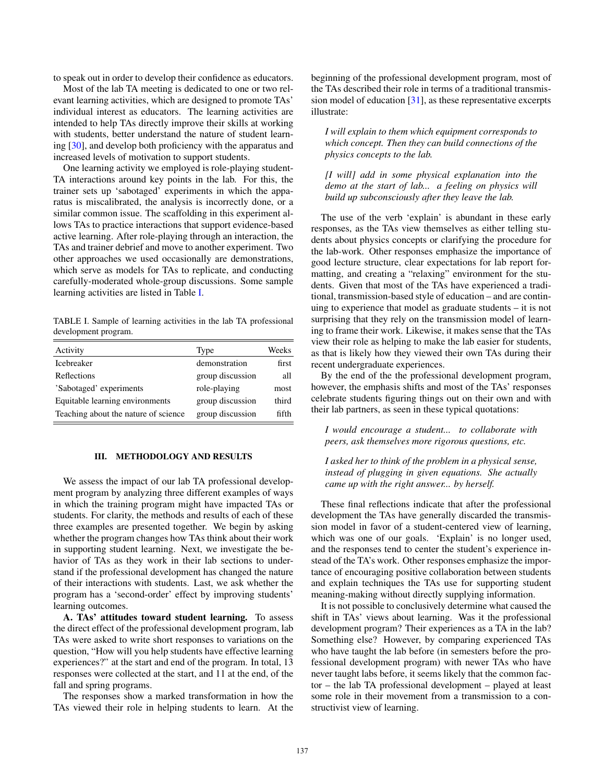to speak out in order to develop their confidence as educators.

Most of the lab TA meeting is dedicated to one or two relevant learning activities, which are designed to promote TAs' individual interest as educators. The learning activities are intended to help TAs directly improve their skills at working with students, better understand the nature of student learning [30], and develop both proficiency with the apparatus and increased levels of motivation to support students.

One learning activity we employed is role-playing student-TA interactions around key points in the lab. For this, the trainer sets up 'sabotaged' experiments in which the apparatus is miscalibrated, the analysis is incorrectly done, or a similar common issue. The scaffolding in this experiment allows TAs to practice interactions that support evidence-based active learning. After role-playing through an interaction, the TAs and trainer debrief and move to another experiment. Two other approaches we used occasionally are demonstrations, which serve as models for TAs to replicate, and conducting carefully-moderated whole-group discussions. Some sample learning activities are listed in Table [I.](#page-2-0)

<span id="page-2-0"></span>TABLE I. Sample of learning activities in the lab TA professional development program.

| Activity                             | Type             | Weeks |
|--------------------------------------|------------------|-------|
| Icebreaker                           | demonstration    | first |
| Reflections                          | group discussion | all   |
| 'Sabotaged' experiments              | role-playing     | most  |
| Equitable learning environments      | group discussion | third |
| Teaching about the nature of science | group discussion | fifth |

## III. METHODOLOGY AND RESULTS

We assess the impact of our lab TA professional development program by analyzing three different examples of ways in which the training program might have impacted TAs or students. For clarity, the methods and results of each of these three examples are presented together. We begin by asking whether the program changes how TAs think about their work in supporting student learning. Next, we investigate the behavior of TAs as they work in their lab sections to understand if the professional development has changed the nature of their interactions with students. Last, we ask whether the program has a 'second-order' effect by improving students' learning outcomes.

A. TAs' attitudes toward student learning. To assess the direct effect of the professional development program, lab TAs were asked to write short responses to variations on the question, "How will you help students have effective learning experiences?" at the start and end of the program. In total, 13 responses were collected at the start, and 11 at the end, of the fall and spring programs.

The responses show a marked transformation in how the TAs viewed their role in helping students to learn. At the beginning of the professional development program, most of the TAs described their role in terms of a traditional transmission model of education [31], as these representative excerpts illustrate:

*I will explain to them which equipment corresponds to which concept. Then they can build connections of the physics concepts to the lab.*

*[I will] add in some physical explanation into the demo at the start of lab... a feeling on physics will build up subconsciously after they leave the lab.*

The use of the verb 'explain' is abundant in these early responses, as the TAs view themselves as either telling students about physics concepts or clarifying the procedure for the lab-work. Other responses emphasize the importance of good lecture structure, clear expectations for lab report formatting, and creating a "relaxing" environment for the students. Given that most of the TAs have experienced a traditional, transmission-based style of education – and are continuing to experience that model as graduate students – it is not surprising that they rely on the transmission model of learning to frame their work. Likewise, it makes sense that the TAs view their role as helping to make the lab easier for students, as that is likely how they viewed their own TAs during their recent undergraduate experiences.

By the end of the the professional development program, however, the emphasis shifts and most of the TAs' responses celebrate students figuring things out on their own and with their lab partners, as seen in these typical quotations:

*I would encourage a student... to collaborate with peers, ask themselves more rigorous questions, etc.*

*I asked her to think of the problem in a physical sense, instead of plugging in given equations. She actually came up with the right answer... by herself.*

These final reflections indicate that after the professional development the TAs have generally discarded the transmission model in favor of a student-centered view of learning, which was one of our goals. 'Explain' is no longer used, and the responses tend to center the student's experience instead of the TA's work. Other responses emphasize the importance of encouraging positive collaboration between students and explain techniques the TAs use for supporting student meaning-making without directly supplying information.

It is not possible to conclusively determine what caused the shift in TAs' views about learning. Was it the professional development program? Their experiences as a TA in the lab? Something else? However, by comparing experienced TAs who have taught the lab before (in semesters before the professional development program) with newer TAs who have never taught labs before, it seems likely that the common factor – the lab TA professional development – played at least some role in their movement from a transmission to a constructivist view of learning.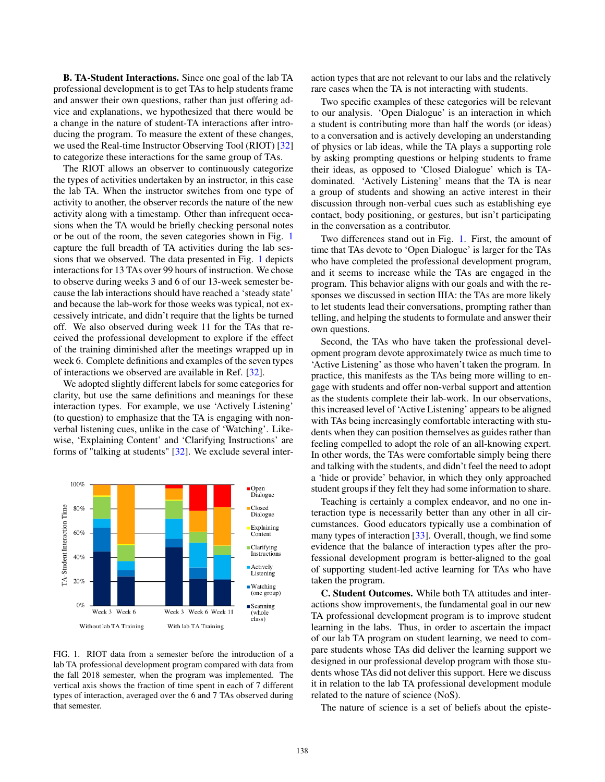B. TA-Student Interactions. Since one goal of the lab TA professional development is to get TAs to help students frame and answer their own questions, rather than just offering advice and explanations, we hypothesized that there would be a change in the nature of student-TA interactions after introducing the program. To measure the extent of these changes, we used the Real-time Instructor Observing Tool (RIOT) [32] to categorize these interactions for the same group of TAs.

The RIOT allows an observer to continuously categorize the types of activities undertaken by an instructor, in this case the lab TA. When the instructor switches from one type of activity to another, the observer records the nature of the new activity along with a timestamp. Other than infrequent occasions when the TA would be briefly checking personal notes or be out of the room, the seven categories shown in Fig. [1](#page-3-0) capture the full breadth of TA activities during the lab sessions that we observed. The data presented in Fig. [1](#page-3-0) depicts interactions for 13 TAs over 99 hours of instruction. We chose to observe during weeks 3 and 6 of our 13-week semester because the lab interactions should have reached a 'steady state' and because the lab-work for those weeks was typical, not excessively intricate, and didn't require that the lights be turned off. We also observed during week 11 for the TAs that received the professional development to explore if the effect of the training diminished after the meetings wrapped up in week 6. Complete definitions and examples of the seven types of interactions we observed are available in Ref. [32].

We adopted slightly different labels for some categories for clarity, but use the same definitions and meanings for these interaction types. For example, we use 'Actively Listening' (to question) to emphasize that the TA is engaging with nonverbal listening cues, unlike in the case of 'Watching'. Likewise, 'Explaining Content' and 'Clarifying Instructions' are forms of "talking at students" [32]. We exclude several inter-



<span id="page-3-0"></span>FIG. 1. RIOT data from a semester before the introduction of a lab TA professional development program compared with data from the fall 2018 semester, when the program was implemented. The vertical axis shows the fraction of time spent in each of 7 different types of interaction, averaged over the 6 and 7 TAs observed during that semester.

action types that are not relevant to our labs and the relatively rare cases when the TA is not interacting with students.

Two specific examples of these categories will be relevant to our analysis. 'Open Dialogue' is an interaction in which a student is contributing more than half the words (or ideas) to a conversation and is actively developing an understanding of physics or lab ideas, while the TA plays a supporting role by asking prompting questions or helping students to frame their ideas, as opposed to 'Closed Dialogue' which is TAdominated. 'Actively Listening' means that the TA is near a group of students and showing an active interest in their discussion through non-verbal cues such as establishing eye contact, body positioning, or gestures, but isn't participating in the conversation as a contributor.

Two differences stand out in Fig. [1.](#page-3-0) First, the amount of time that TAs devote to 'Open Dialogue' is larger for the TAs who have completed the professional development program, and it seems to increase while the TAs are engaged in the program. This behavior aligns with our goals and with the responses we discussed in section IIIA: the TAs are more likely to let students lead their conversations, prompting rather than telling, and helping the students to formulate and answer their own questions.

Second, the TAs who have taken the professional development program devote approximately twice as much time to 'Active Listening' as those who haven't taken the program. In practice, this manifests as the TAs being more willing to engage with students and offer non-verbal support and attention as the students complete their lab-work. In our observations, this increased level of 'Active Listening' appears to be aligned with TAs being increasingly comfortable interacting with students when they can position themselves as guides rather than feeling compelled to adopt the role of an all-knowing expert. In other words, the TAs were comfortable simply being there and talking with the students, and didn't feel the need to adopt a 'hide or provide' behavior, in which they only approached student groups if they felt they had some information to share.

Teaching is certainly a complex endeavor, and no one interaction type is necessarily better than any other in all circumstances. Good educators typically use a combination of many types of interaction [33]. Overall, though, we find some evidence that the balance of interaction types after the professional development program is better-aligned to the goal of supporting student-led active learning for TAs who have taken the program.

C. Student Outcomes. While both TA attitudes and interactions show improvements, the fundamental goal in our new TA professional development program is to improve student learning in the labs. Thus, in order to ascertain the impact of our lab TA program on student learning, we need to compare students whose TAs did deliver the learning support we designed in our professional develop program with those students whose TAs did not deliver this support. Here we discuss it in relation to the lab TA professional development module related to the nature of science (NoS).

The nature of science is a set of beliefs about the episte-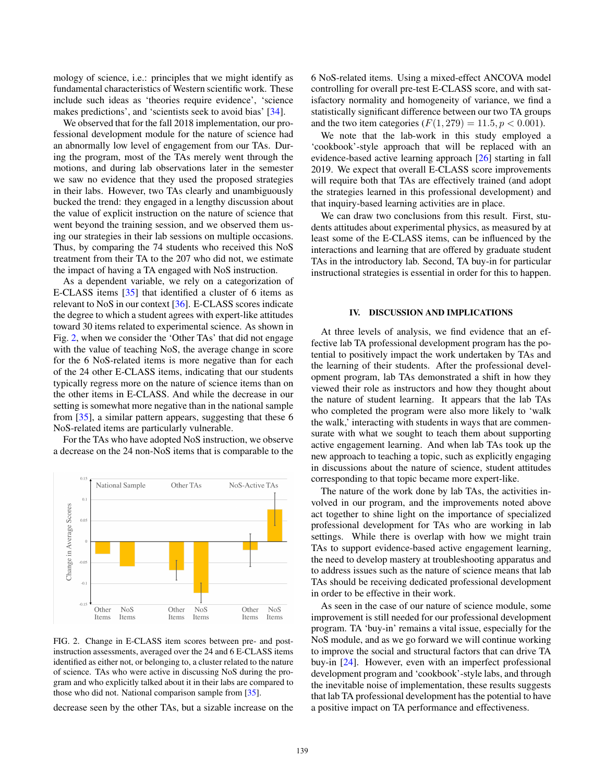mology of science, i.e.: principles that we might identify as fundamental characteristics of Western scientific work. These include such ideas as 'theories require evidence', 'science makes predictions', and 'scientists seek to avoid bias' [34].

We observed that for the fall 2018 implementation, our professional development module for the nature of science had an abnormally low level of engagement from our TAs. During the program, most of the TAs merely went through the motions, and during lab observations later in the semester we saw no evidence that they used the proposed strategies in their labs. However, two TAs clearly and unambiguously bucked the trend: they engaged in a lengthy discussion about the value of explicit instruction on the nature of science that went beyond the training session, and we observed them using our strategies in their lab sessions on multiple occasions. Thus, by comparing the 74 students who received this NoS treatment from their TA to the 207 who did not, we estimate the impact of having a TA engaged with NoS instruction.

As a dependent variable, we rely on a categorization of E-CLASS items [35] that identified a cluster of 6 items as relevant to NoS in our context [36]. E-CLASS scores indicate the degree to which a student agrees with expert-like attitudes toward 30 items related to experimental science. As shown in Fig. [2,](#page-4-0) when we consider the 'Other TAs' that did not engage with the value of teaching NoS, the average change in score for the 6 NoS-related items is more negative than for each of the 24 other E-CLASS items, indicating that our students typically regress more on the nature of science items than on the other items in E-CLASS. And while the decrease in our setting is somewhat more negative than in the national sample from [35], a similar pattern appears, suggesting that these 6 NoS-related items are particularly vulnerable.

For the TAs who have adopted NoS instruction, we observe a decrease on the 24 non-NoS items that is comparable to the



<span id="page-4-0"></span>FIG. 2. Change in E-CLASS item scores between pre- and postinstruction assessments, averaged over the 24 and 6 E-CLASS items identified as either not, or belonging to, a cluster related to the nature of science. TAs who were active in discussing NoS during the program and who explicitly talked about it in their labs are compared to those who did not. National comparison sample from [35].

decrease seen by the other TAs, but a sizable increase on the

6 NoS-related items. Using a mixed-effect ANCOVA model controlling for overall pre-test E-CLASS score, and with satisfactory normality and homogeneity of variance, we find a statistically significant difference between our two TA groups and the two item categories  $(F(1, 279) = 11.5, p < 0.001)$ .

We note that the lab-work in this study employed a 'cookbook'-style approach that will be replaced with an evidence-based active learning approach [26] starting in fall 2019. We expect that overall E-CLASS score improvements will require both that TAs are effectively trained (and adopt the strategies learned in this professional development) and that inquiry-based learning activities are in place.

We can draw two conclusions from this result. First, students attitudes about experimental physics, as measured by at least some of the E-CLASS items, can be influenced by the interactions and learning that are offered by graduate student TAs in the introductory lab. Second, TA buy-in for particular instructional strategies is essential in order for this to happen.

#### IV. DISCUSSION AND IMPLICATIONS

At three levels of analysis, we find evidence that an effective lab TA professional development program has the potential to positively impact the work undertaken by TAs and the learning of their students. After the professional development program, lab TAs demonstrated a shift in how they viewed their role as instructors and how they thought about the nature of student learning. It appears that the lab TAs who completed the program were also more likely to 'walk the walk,' interacting with students in ways that are commensurate with what we sought to teach them about supporting active engagement learning. And when lab TAs took up the new approach to teaching a topic, such as explicitly engaging in discussions about the nature of science, student attitudes corresponding to that topic became more expert-like.

The nature of the work done by lab TAs, the activities involved in our program, and the improvements noted above act together to shine light on the importance of specialized professional development for TAs who are working in lab settings. While there is overlap with how we might train TAs to support evidence-based active engagement learning, the need to develop mastery at troubleshooting apparatus and to address issues such as the nature of science means that lab TAs should be receiving dedicated professional development in order to be effective in their work.

As seen in the case of our nature of science module, some improvement is still needed for our professional development program. TA 'buy-in' remains a vital issue, especially for the NoS module, and as we go forward we will continue working to improve the social and structural factors that can drive TA buy-in [24]. However, even with an imperfect professional development program and 'cookbook'-style labs, and through the inevitable noise of implementation, these results suggests that lab TA professional development has the potential to have a positive impact on TA performance and effectiveness.